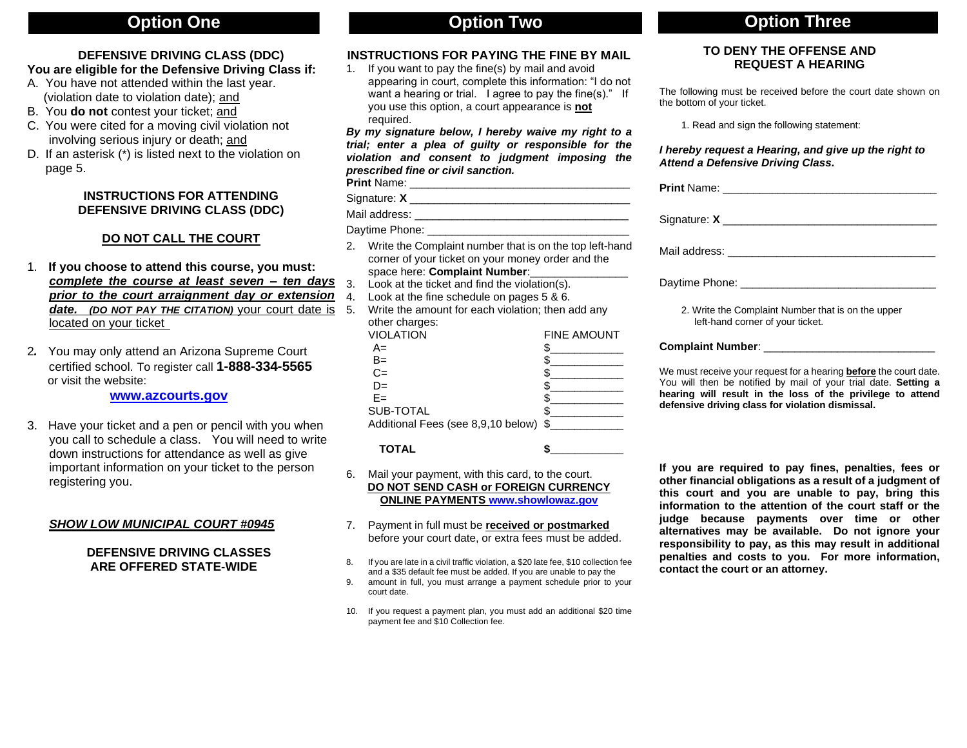# **DEFENSIVE DRIVING CLASS (DDC)**

# **You are eligible for the Defensive Driving Class if:**

- A. You have not attended within the last year. (violation date to violation date); and
- B. You **do not** contest your ticket; and
- C. You were cited for a moving civil violation not involving serious injury or death; and
- D. If an asterisk (\*) is listed next to the violation on page 5.

# **INSTRUCTIONS FOR ATTENDING DEFENSIVE DRIVING CLASS (DDC)**

# **DO NOT CALL THE COURT**

- 1. **If you choose to attend this course, you must:** *complete the course at least seven – ten days prior to the court arraignment day or extension date. (DO NOT PAY THE CITATION)* your court date is located on your ticket
- 2*.* You may only attend an Arizona Supreme Court certified school. To register call **1-888-334-5565** or visit the website:

 **[www.azcourts.gov](http://www.azcourts.gov/)**

3. Have your ticket and a pen or pencil with you when you call to schedule a class. You will need to write down instructions for attendance as well as give important information on your ticket to the person registering you.

# *SHOW LOW MUNICIPAL COURT #0945*

# **DEFENSIVE DRIVING CLASSES ARE OFFERED STATE-WIDE**

# **INSTRUCTIONS FOR PAYING THE FINE BY MAIL**

1. If you want to pay the fine(s) by mail and avoid appearing in court, complete this information: "I do not want a hearing or trial. I agree to pay the fine(s)." If you use this option, a court appearance is **not** required.

*By my signature below, I hereby waive my right to a trial; enter a plea of guilty or responsible for the violation and consent to judgment imposing the prescribed fine or civil sanction.* **Print** Name: \_\_\_\_\_\_\_\_\_\_\_\_\_\_\_\_\_\_\_\_\_\_\_\_\_\_\_\_\_\_\_\_\_\_\_\_

Signature: **X** \_\_\_\_\_\_\_\_\_\_\_\_\_\_\_\_\_\_\_\_\_\_\_\_\_\_\_\_\_\_\_\_\_\_\_\_

Mail address: \_\_\_\_\_\_\_\_\_\_\_\_\_\_\_\_\_\_\_\_\_\_\_\_\_\_\_\_\_\_\_\_\_\_\_

Daytime Phone: \_\_\_\_\_\_\_

- 2. Write the Complaint number that is on the top left-hand corner of your ticket on your money order and the space here: **Complaint Number:\_**
- 3. Look at the ticket and find the violation(s).
- 4. Look at the fine schedule on pages 5 & 6.
- 5. Write the amount for each violation; then add any other charges:

| VIOLATION                             | <b>FINE AMOUNT</b> |
|---------------------------------------|--------------------|
| A=                                    |                    |
| $B=$                                  |                    |
| $C =$                                 |                    |
| $D=$                                  |                    |
| $F =$                                 |                    |
| SUB-TOTAL                             |                    |
| Additional Fees (see 8,9,10 below) \$ |                    |

**TOTAL \$\_\_\_\_\_\_\_\_\_\_\_\_**

- 6. Mail your payment, with this card, to the court. **DO NOT SEND CASH or FOREIGN CURRENCY ONLINE PAYMENTS [www.showlowaz.gov](http://www.showlowaz.gov/)**
- 7. Payment in full must be **received or postmarked** before your court date, or extra fees must be added.
- 8. If you are late in a civil traffic violation, a \$20 late fee, \$10 collection fee and a \$35 default fee must be added. If you are unable to pay the
- 9. amount in full, you must arrange a payment schedule prior to your court date.
- 10. If you request a payment plan, you must add an additional \$20 time payment fee and \$10 Collection fee.

# **Option One Option Two Option Three**

# **TO DENY THE OFFENSE AND REQUEST A HEARING**

The following must be received before the court date shown on the bottom of your ticket.

1. Read and sign the following statement:

# *I hereby request a Hearing, and give up the right to Attend a Defensive Driving Class.*

| Daytime Phone: the contract of the contract of the contract of the contract of the contract of the contract of the contract of the contract of the contract of the contract of the contract of the contract of the contract of                                |
|---------------------------------------------------------------------------------------------------------------------------------------------------------------------------------------------------------------------------------------------------------------|
| 2. Write the Complaint Number that is on the upper<br>left-hand corner of your ticket.                                                                                                                                                                        |
| <b>Complaint Number:</b> And The Complaint Number:                                                                                                                                                                                                            |
| We must receive your request for a hearing <b>before</b> the court date.<br>You will then be notified by mail of your trial date. Setting a<br>hearing will result in the loss of the privilege to attend<br>defensive driving class for violation dismissal. |

**If you are required to pay fines, penalties, fees or other financial obligations as a result of a judgment of this court and you are unable to pay, bring this information to the attention of the court staff or the judge because payments over time or other alternatives may be available. Do not ignore your responsibility to pay, as this may result in additional penalties and costs to you. For more information, contact the court or an attorney.**